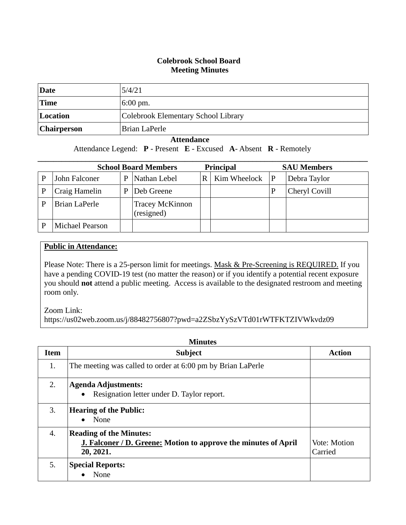## **Colebrook School Board Meeting Minutes**

| Date               | 5/4/21                              |
|--------------------|-------------------------------------|
| <b>Time</b>        | $6:00 \text{ pm}.$                  |
| Location           | Colebrook Elementary School Library |
| <b>Chairperson</b> | Brian LaPerle                       |

## **Attendance**

Attendance Legend: **P** - Present **E** - Excused **A**- Absent **R** - Remotely

|   | <b>School Board Members</b><br><b>Principal</b> |   |                                      |     | <b>SAU Members</b> |   |               |
|---|-------------------------------------------------|---|--------------------------------------|-----|--------------------|---|---------------|
| P | John Falconer                                   | P | Nathan Lebel                         | R I | Kim Wheelock       | P | Debra Taylor  |
|   | Craig Hamelin                                   | P | Deb Greene                           |     |                    |   | Cheryl Covill |
| P | <b>Brian LaPerle</b>                            |   | <b>Tracey McKinnon</b><br>(resigned) |     |                    |   |               |
|   | <b>Michael Pearson</b>                          |   |                                      |     |                    |   |               |

## **Public in Attendance:**

Please Note: There is a 25-person limit for meetings. Mask & Pre-Screening is REQUIRED. If you have a pending COVID-19 test (no matter the reason) or if you identify a potential recent exposure you should **not** attend a public meeting. Access is available to the designated restroom and meeting room only.

Zoom Link:

https://us02web.zoom.us/j/88482756807?pwd=a2ZSbzYySzVTd01rWTFKTZIVWkvdz09

| <b>Item</b> | <b>Subject</b>                                                                                                        | <b>Action</b>           |
|-------------|-----------------------------------------------------------------------------------------------------------------------|-------------------------|
| 1.          | The meeting was called to order at 6:00 pm by Brian LaPerle                                                           |                         |
| 2.          | <b>Agenda Adjustments:</b><br>Resignation letter under D. Taylor report.<br>$\bullet$                                 |                         |
| 3.          | <b>Hearing of the Public:</b><br>None<br>$\bullet$                                                                    |                         |
| 4.          | <b>Reading of the Minutes:</b><br><b>J. Falconer / D. Greene: Motion to approve the minutes of April</b><br>20, 2021. | Vote: Motion<br>Carried |
| 5.          | <b>Special Reports:</b><br>None                                                                                       |                         |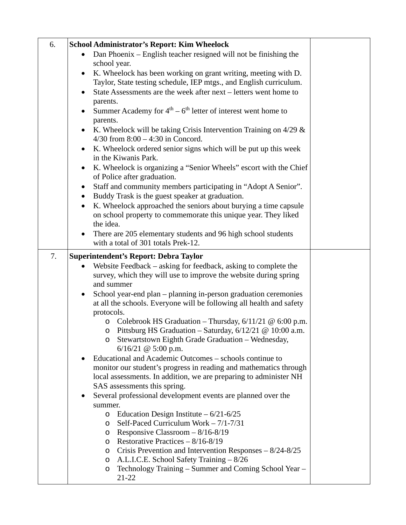| 6. | <b>School Administrator's Report: Kim Wheelock</b>                                                                                                   |  |
|----|------------------------------------------------------------------------------------------------------------------------------------------------------|--|
|    | Dan Phoenix - English teacher resigned will not be finishing the                                                                                     |  |
|    | school year.                                                                                                                                         |  |
|    | K. Wheelock has been working on grant writing, meeting with D.                                                                                       |  |
|    | Taylor, State testing schedule, IEP mtgs., and English curriculum.                                                                                   |  |
|    | State Assessments are the week after next – letters went home to                                                                                     |  |
|    | parents.                                                                                                                                             |  |
|    | Summer Academy for $4th - 6th$ letter of interest went home to                                                                                       |  |
|    | parents.                                                                                                                                             |  |
|    | K. Wheelock will be taking Crisis Intervention Training on $4/29$ &                                                                                  |  |
|    | $4/30$ from $8:00 - 4:30$ in Concord.                                                                                                                |  |
|    | K. Wheelock ordered senior signs which will be put up this week                                                                                      |  |
|    | in the Kiwanis Park.                                                                                                                                 |  |
|    | K. Wheelock is organizing a "Senior Wheels" escort with the Chief                                                                                    |  |
|    | of Police after graduation.                                                                                                                          |  |
|    | Staff and community members participating in "Adopt A Senior".<br>$\bullet$                                                                          |  |
|    | Buddy Trask is the guest speaker at graduation.<br>$\bullet$                                                                                         |  |
|    | K. Wheelock approached the seniors about burying a time capsule<br>$\bullet$                                                                         |  |
|    | on school property to commemorate this unique year. They liked<br>the idea.                                                                          |  |
|    | There are 205 elementary students and 96 high school students                                                                                        |  |
|    | with a total of 301 totals Prek-12.                                                                                                                  |  |
|    |                                                                                                                                                      |  |
| 7. | <b>Superintendent's Report: Debra Taylor</b>                                                                                                         |  |
|    | Website Feedback – asking for feedback, asking to complete the<br>$\bullet$                                                                          |  |
|    | survey, which they will use to improve the website during spring                                                                                     |  |
|    | and summer                                                                                                                                           |  |
|    | School year-end plan – planning in-person graduation ceremonies<br>$\bullet$<br>at all the schools. Everyone will be following all health and safety |  |
|    | protocols.                                                                                                                                           |  |
|    | Colebrook HS Graduation - Thursday, $6/11/21$ @ $6:00$ p.m.<br>$\circ$                                                                               |  |
|    | Pittsburg HS Graduation – Saturday, $6/12/21$ @ 10:00 a.m.<br>$\circ$                                                                                |  |
|    | Stewartstown Eighth Grade Graduation - Wednesday,<br>O                                                                                               |  |
|    | $6/16/21$ @ 5:00 p.m.                                                                                                                                |  |
|    | Educational and Academic Outcomes – schools continue to                                                                                              |  |
|    | monitor our student's progress in reading and mathematics through                                                                                    |  |
|    | local assessments. In addition, we are preparing to administer NH                                                                                    |  |
|    | SAS assessments this spring.                                                                                                                         |  |
|    | Several professional development events are planned over the                                                                                         |  |
|    | summer.                                                                                                                                              |  |
|    | $\circ$ Education Design Institute – 6/21-6/25                                                                                                       |  |
|    | Self-Paced Curriculum Work $-7/1-7/31$<br>$\circ$                                                                                                    |  |
|    | Responsive Classroom $-8/16-8/19$<br>$\circ$                                                                                                         |  |
|    | o Restorative Practices $-8/16-8/19$                                                                                                                 |  |
|    | Crisis Prevention and Intervention Responses $-8/24-8/25$<br>$\circ$<br>A.L.I.C.E. School Safety Training - 8/26                                     |  |
|    | $\circ$<br>Technology Training – Summer and Coming School Year –<br>$\circ$                                                                          |  |
|    | $21 - 22$                                                                                                                                            |  |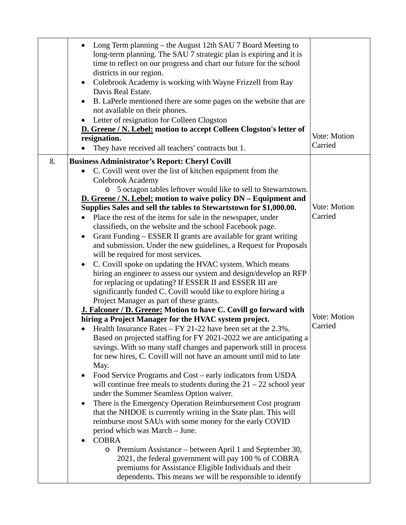|    | Long Term planning – the August 12th SAU 7 Board Meeting to<br>long-term planning. The SAU 7 strategic plan is expiring and it is<br>time to reflect on our progress and chart our future for the school<br>districts in our region.<br>Colebrook Academy is working with Wayne Frizzell from Ray<br>$\bullet$<br>Davis Real Estate.<br>B. LaPerle mentioned there are some pages on the website that are<br>not available on their phones. |              |
|----|---------------------------------------------------------------------------------------------------------------------------------------------------------------------------------------------------------------------------------------------------------------------------------------------------------------------------------------------------------------------------------------------------------------------------------------------|--------------|
|    |                                                                                                                                                                                                                                                                                                                                                                                                                                             |              |
|    | Letter of resignation for Colleen Clogston<br>$\bullet$                                                                                                                                                                                                                                                                                                                                                                                     |              |
|    | D. Greene / N. Lebel: motion to accept Colleen Clogston's letter of                                                                                                                                                                                                                                                                                                                                                                         | Vote: Motion |
|    | resignation.<br>They have received all teachers' contracts but 1.                                                                                                                                                                                                                                                                                                                                                                           | Carried      |
| 8. | <b>Business Administrator's Report: Cheryl Covill</b>                                                                                                                                                                                                                                                                                                                                                                                       |              |
|    | C. Covill went over the list of kitchen equipment from the<br>$\bullet$                                                                                                                                                                                                                                                                                                                                                                     |              |
|    | Colebrook Academy                                                                                                                                                                                                                                                                                                                                                                                                                           |              |
|    | 5 octagon tables leftover would like to sell to Stewartstown.<br>$\circ$                                                                                                                                                                                                                                                                                                                                                                    |              |
|    | <b>D.</b> Greene / N. Lebel: motion to waive policy DN – Equipment and                                                                                                                                                                                                                                                                                                                                                                      |              |
|    | Supplies Sales and sell the tables to Stewartstown for \$1,000.00.                                                                                                                                                                                                                                                                                                                                                                          | Vote: Motion |
|    | Place the rest of the items for sale in the newspaper, under                                                                                                                                                                                                                                                                                                                                                                                | Carried      |
|    | classifieds, on the website and the school Facebook page.                                                                                                                                                                                                                                                                                                                                                                                   |              |
|    | Grant Funding – ESSER II grants are available for grant writing<br>$\bullet$                                                                                                                                                                                                                                                                                                                                                                |              |
|    | and submission. Under the new guidelines, a Request for Proposals                                                                                                                                                                                                                                                                                                                                                                           |              |
|    | will be required for most services.                                                                                                                                                                                                                                                                                                                                                                                                         |              |
|    | C. Covill spoke on updating the HVAC system. Which means<br>$\bullet$                                                                                                                                                                                                                                                                                                                                                                       |              |
|    | hiring an engineer to assess our system and design/develop an RFP                                                                                                                                                                                                                                                                                                                                                                           |              |
|    | for replacing or updating? If ESSER II and ESSER III are                                                                                                                                                                                                                                                                                                                                                                                    |              |
|    | significantly funded C. Covill would like to explore hiring a                                                                                                                                                                                                                                                                                                                                                                               |              |
|    | Project Manager as part of these grants.                                                                                                                                                                                                                                                                                                                                                                                                    |              |
|    | J. Falconer / D. Greene: Motion to have C. Covill go forward with                                                                                                                                                                                                                                                                                                                                                                           |              |
|    | hiring a Project Manager for the HVAC system project.                                                                                                                                                                                                                                                                                                                                                                                       | Vote: Motion |
|    | Health Insurance Rates $-$ FY 21-22 have been set at the 2.3%.                                                                                                                                                                                                                                                                                                                                                                              | Carried      |
|    | Based on projected staffing for FY 2021-2022 we are anticipating a                                                                                                                                                                                                                                                                                                                                                                          |              |
|    | savings. With so many staff changes and paperwork still in process                                                                                                                                                                                                                                                                                                                                                                          |              |
|    | for new hires, C. Covill will not have an amount until mid to late                                                                                                                                                                                                                                                                                                                                                                          |              |
|    | May.                                                                                                                                                                                                                                                                                                                                                                                                                                        |              |
|    | Food Service Programs and Cost – early indicators from USDA                                                                                                                                                                                                                                                                                                                                                                                 |              |
|    | will continue free meals to students during the $21 - 22$ school year                                                                                                                                                                                                                                                                                                                                                                       |              |
|    | under the Summer Seamless Option waiver.                                                                                                                                                                                                                                                                                                                                                                                                    |              |
|    | There is the Emergency Operation Reimbursement Cost program                                                                                                                                                                                                                                                                                                                                                                                 |              |
|    | that the NHDOE is currently writing in the State plan. This will                                                                                                                                                                                                                                                                                                                                                                            |              |
|    | reimburse most SAUs with some money for the early COVID                                                                                                                                                                                                                                                                                                                                                                                     |              |
|    | period which was March – June.                                                                                                                                                                                                                                                                                                                                                                                                              |              |
|    | <b>COBRA</b>                                                                                                                                                                                                                                                                                                                                                                                                                                |              |
|    | Premium Assistance – between April 1 and September 30,<br>$\circ$                                                                                                                                                                                                                                                                                                                                                                           |              |
|    | 2021, the federal government will pay 100 % of COBRA                                                                                                                                                                                                                                                                                                                                                                                        |              |
|    | premiums for Assistance Eligible Individuals and their                                                                                                                                                                                                                                                                                                                                                                                      |              |
|    | dependents. This means we will be responsible to identify                                                                                                                                                                                                                                                                                                                                                                                   |              |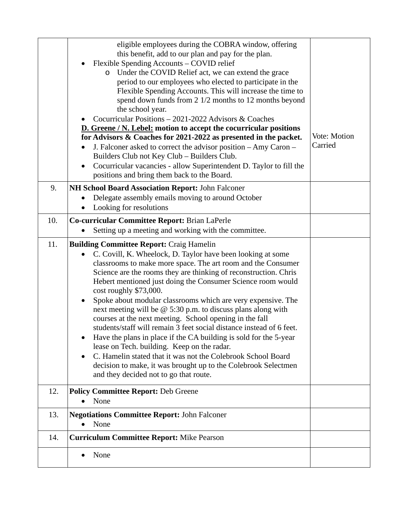|     | eligible employees during the COBRA window, offering<br>this benefit, add to our plan and pay for the plan.<br>Flexible Spending Accounts - COVID relief<br>Under the COVID Relief act, we can extend the grace<br>$\circ$<br>period to our employees who elected to participate in the<br>Flexible Spending Accounts. This will increase the time to<br>spend down funds from 2 1/2 months to 12 months beyond<br>the school year.<br>Cocurricular Positions - 2021-2022 Advisors & Coaches<br><b>D.</b> Greene / N. Lebel: motion to accept the cocurricular positions<br>for Advisors & Coaches for 2021-2022 as presented in the packet.<br>J. Falconer asked to correct the advisor position - Amy Caron -<br>Builders Club not Key Club - Builders Club.<br>Cocurricular vacancies - allow Superintendent D. Taylor to fill the<br>$\bullet$<br>positions and bring them back to the Board.                                                    | Vote: Motion<br>Carried |  |  |
|-----|------------------------------------------------------------------------------------------------------------------------------------------------------------------------------------------------------------------------------------------------------------------------------------------------------------------------------------------------------------------------------------------------------------------------------------------------------------------------------------------------------------------------------------------------------------------------------------------------------------------------------------------------------------------------------------------------------------------------------------------------------------------------------------------------------------------------------------------------------------------------------------------------------------------------------------------------------|-------------------------|--|--|
| 9.  | NH School Board Association Report: John Falconer<br>Delegate assembly emails moving to around October                                                                                                                                                                                                                                                                                                                                                                                                                                                                                                                                                                                                                                                                                                                                                                                                                                               |                         |  |  |
|     | Looking for resolutions                                                                                                                                                                                                                                                                                                                                                                                                                                                                                                                                                                                                                                                                                                                                                                                                                                                                                                                              |                         |  |  |
| 10. | Co-curricular Committee Report: Brian LaPerle                                                                                                                                                                                                                                                                                                                                                                                                                                                                                                                                                                                                                                                                                                                                                                                                                                                                                                        |                         |  |  |
|     | Setting up a meeting and working with the committee.                                                                                                                                                                                                                                                                                                                                                                                                                                                                                                                                                                                                                                                                                                                                                                                                                                                                                                 |                         |  |  |
| 11. | <b>Building Committee Report: Craig Hamelin</b><br>C. Covill, K. Wheelock, D. Taylor have been looking at some<br>$\bullet$<br>classrooms to make more space. The art room and the Consumer<br>Science are the rooms they are thinking of reconstruction. Chris<br>Hebert mentioned just doing the Consumer Science room would<br>cost roughly \$73,000.<br>Spoke about modular classrooms which are very expensive. The<br>٠<br>next meeting will be $@$ 5:30 p.m. to discuss plans along with<br>courses at the next meeting. School opening in the fall<br>students/staff will remain 3 feet social distance instead of 6 feet.<br>Have the plans in place if the CA building is sold for the 5-year<br>$\bullet$<br>lease on Tech. building. Keep on the radar.<br>C. Hamelin stated that it was not the Colebrook School Board<br>٠<br>decision to make, it was brought up to the Colebrook Selectmen<br>and they decided not to go that route. |                         |  |  |
| 12. | <b>Policy Committee Report: Deb Greene</b><br>None<br>$\bullet$                                                                                                                                                                                                                                                                                                                                                                                                                                                                                                                                                                                                                                                                                                                                                                                                                                                                                      |                         |  |  |
| 13. | <b>Negotiations Committee Report: John Falconer</b><br>None<br>$\bullet$                                                                                                                                                                                                                                                                                                                                                                                                                                                                                                                                                                                                                                                                                                                                                                                                                                                                             |                         |  |  |
| 14. | <b>Curriculum Committee Report: Mike Pearson</b>                                                                                                                                                                                                                                                                                                                                                                                                                                                                                                                                                                                                                                                                                                                                                                                                                                                                                                     |                         |  |  |
|     | None<br>$\bullet$                                                                                                                                                                                                                                                                                                                                                                                                                                                                                                                                                                                                                                                                                                                                                                                                                                                                                                                                    |                         |  |  |